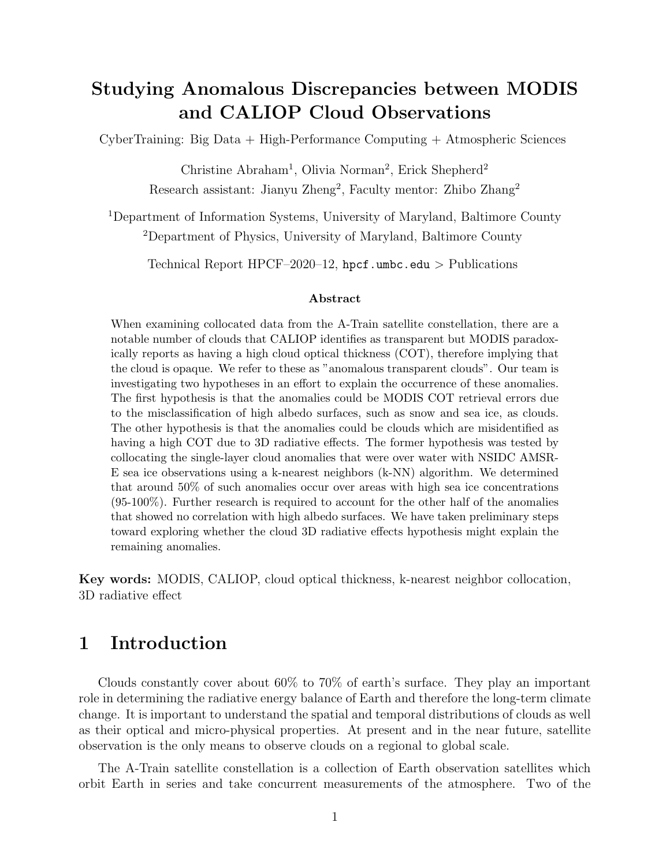# Studying Anomalous Discrepancies between MODIS and CALIOP Cloud Observations

CyberTraining: Big Data + High-Performance Computing + Atmospheric Sciences

Christine Abraham<sup>1</sup>, Olivia Norman<sup>2</sup>, Erick Shepherd<sup>2</sup> Research assistant: Jianyu Zheng<sup>2</sup>, Faculty mentor: Zhibo Zhang<sup>2</sup>

<sup>1</sup>Department of Information Systems, University of Maryland, Baltimore County <sup>2</sup>Department of Physics, University of Maryland, Baltimore County

Technical Report HPCF–2020–12, <hpcf.umbc.edu> > Publications

#### Abstract

When examining collocated data from the A-Train satellite constellation, there are a notable number of clouds that CALIOP identifies as transparent but MODIS paradoxically reports as having a high cloud optical thickness (COT), therefore implying that the cloud is opaque. We refer to these as "anomalous transparent clouds". Our team is investigating two hypotheses in an effort to explain the occurrence of these anomalies. The first hypothesis is that the anomalies could be MODIS COT retrieval errors due to the misclassification of high albedo surfaces, such as snow and sea ice, as clouds. The other hypothesis is that the anomalies could be clouds which are misidentified as having a high COT due to 3D radiative effects. The former hypothesis was tested by collocating the single-layer cloud anomalies that were over water with NSIDC AMSR-E sea ice observations using a k-nearest neighbors (k-NN) algorithm. We determined that around 50% of such anomalies occur over areas with high sea ice concentrations (95-100%). Further research is required to account for the other half of the anomalies that showed no correlation with high albedo surfaces. We have taken preliminary steps toward exploring whether the cloud 3D radiative effects hypothesis might explain the remaining anomalies.

Key words: MODIS, CALIOP, cloud optical thickness, k-nearest neighbor collocation, 3D radiative effect

## 1 Introduction

Clouds constantly cover about 60% to 70% of earth's surface. They play an important role in determining the radiative energy balance of Earth and therefore the long-term climate change. It is important to understand the spatial and temporal distributions of clouds as well as their optical and micro-physical properties. At present and in the near future, satellite observation is the only means to observe clouds on a regional to global scale.

The A-Train satellite constellation is a collection of Earth observation satellites which orbit Earth in series and take concurrent measurements of the atmosphere. Two of the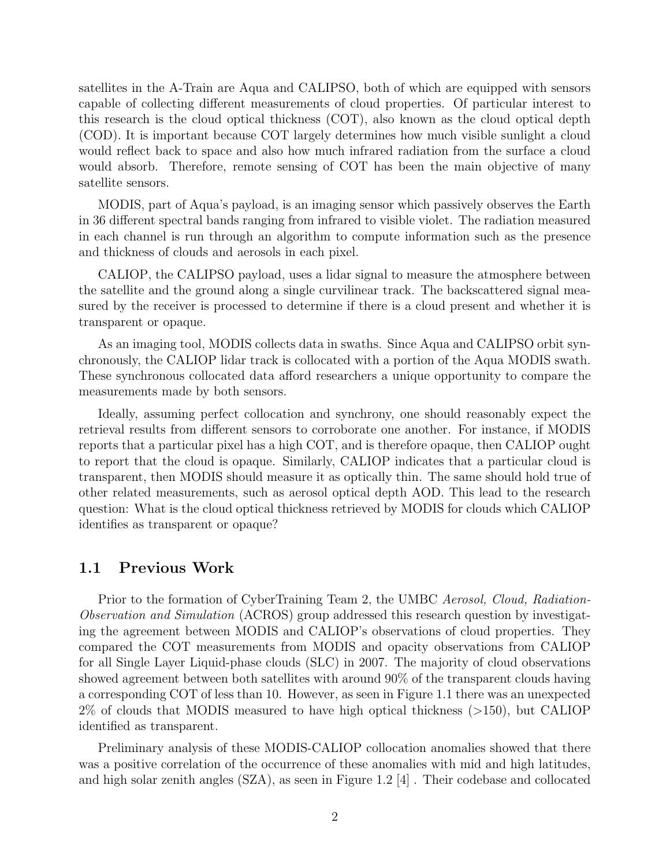satellites in the A-Train are Aqua and CALIPSO, both of which are equipped with sensors capable of collecting different measurements of cloud properties. Of particular interest to this research is the cloud optical thickness (COT), also known as the cloud optical depth (COD). It is important because COT largely determines how much visible sunlight a cloud would reflect back to space and also how much infrared radiation from the surface a cloud would absorb. Therefore, remote sensing of COT has been the main objective of many satellite sensors.

MODIS, part of Aqua's payload, is an imaging sensor which passively observes the Earth in 36 different spectral bands ranging from infrared to visible violet. The radiation measured in each channel is run through an algorithm to compute information such as the presence and thickness of clouds and aerosols in each pixel.

CALIOP, the CALIPSO payload, uses a lidar signal to measure the atmosphere between the satellite and the ground along a single curvilinear track. The backscattered signal measured by the receiver is processed to determine if there is a cloud present and whether it is transparent or opaque.

As an imaging tool, MODIS collects data in swaths. Since Aqua and CALIPSO orbit synchronously, the CALIOP lidar track is collocated with a portion of the Aqua MODIS swath. These synchronous collocated data afford researchers a unique opportunity to compare the measurements made by both sensors.

Ideally, assuming perfect collocation and synchrony, one should reasonably expect the retrieval results from different sensors to corroborate one another. For instance, if MODIS reports that a particular pixel has a high COT, and is therefore opaque, then CALIOP ought to report that the cloud is opaque. Similarly, CALIOP indicates that a particular cloud is transparent, then MODIS should measure it as optically thin. The same should hold true of other related measurements, such as aerosol optical depth AOD. This lead to the research question: What is the cloud optical thickness retrieved by MODIS for clouds which CALIOP identifies as transparent or opaque?

#### 1.1 Previous Work

Prior to the formation of CyberTraining Team 2, the UMBC Aerosol, Cloud, Radiation-Observation and Simulation (ACROS) group addressed this research question by investigating the agreement between MODIS and CALIOP's observations of cloud properties. They compared the COT measurements from MODIS and opacity observations from CALIOP for all Single Layer Liquid-phase clouds (SLC) in 2007. The majority of cloud observations showed agreement between both satellites with around 90% of the transparent clouds having a corresponding COT of less than 10. However, as seen in Figure [1.1](#page-2-0) there was an unexpected 2% of clouds that MODIS measured to have high optical thickness (>150), but CALIOP identified as transparent.

Preliminary analysis of these MODIS-CALIOP collocation anomalies showed that there was a positive correlation of the occurrence of these anomalies with mid and high latitudes, and high solar zenith angles (SZA), as seen in Figure [1.2](#page-2-0) [\[4\]](#page-10-0) . Their codebase and collocated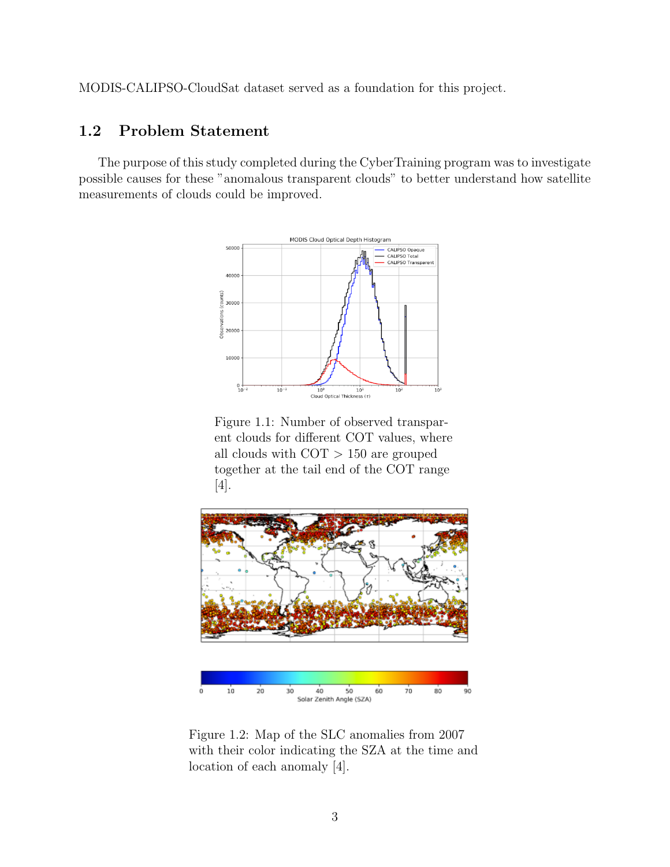MODIS-CALIPSO-CloudSat dataset served as a foundation for this project.

### 1.2 Problem Statement

<span id="page-2-0"></span>The purpose of this study completed during the CyberTraining program was to investigate possible causes for these "anomalous transparent clouds" to better understand how satellite measurements of clouds could be improved.



Figure 1.1: Number of observed transparent clouds for different COT values, where all clouds with  $\text{COT} > 150$  are grouped together at the tail end of the COT range [\[4\]](#page-10-0).



Figure 1.2: Map of the SLC anomalies from 2007 with their color indicating the SZA at the time and location of each anomaly [\[4\]](#page-10-0).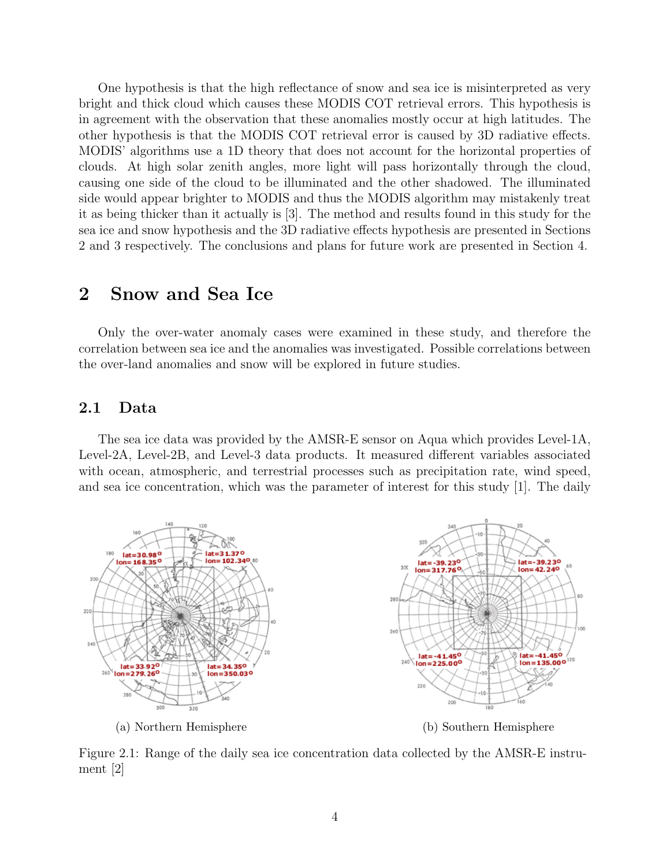One hypothesis is that the high reflectance of snow and sea ice is misinterpreted as very bright and thick cloud which causes these MODIS COT retrieval errors. This hypothesis is in agreement with the observation that these anomalies mostly occur at high latitudes. The other hypothesis is that the MODIS COT retrieval error is caused by 3D radiative effects. MODIS' algorithms use a 1D theory that does not account for the horizontal properties of clouds. At high solar zenith angles, more light will pass horizontally through the cloud, causing one side of the cloud to be illuminated and the other shadowed. The illuminated side would appear brighter to MODIS and thus the MODIS algorithm may mistakenly treat it as being thicker than it actually is [\[3\]](#page-10-1). The method and results found in this study for the sea ice and snow hypothesis and the 3D radiative effects hypothesis are presented in Sections 2 and 3 respectively. The conclusions and plans for future work are presented in Section 4.

### 2 Snow and Sea Ice

Only the over-water anomaly cases were examined in these study, and therefore the correlation between sea ice and the anomalies was investigated. Possible correlations between the over-land anomalies and snow will be explored in future studies.

#### 2.1 Data

The sea ice data was provided by the AMSR-E sensor on Aqua which provides Level-1A, Level-2A, Level-2B, and Level-3 data products. It measured different variables associated with ocean, atmospheric, and terrestrial processes such as precipitation rate, wind speed, and sea ice concentration, which was the parameter of interest for this study [\[1\]](#page-10-2). The daily

<span id="page-3-0"></span>

(a) Northern Hemisphere (b) Southern Hemisphere

Figure 2.1: Range of the daily sea ice concentration data collected by the AMSR-E instrument [\[2\]](#page-10-3)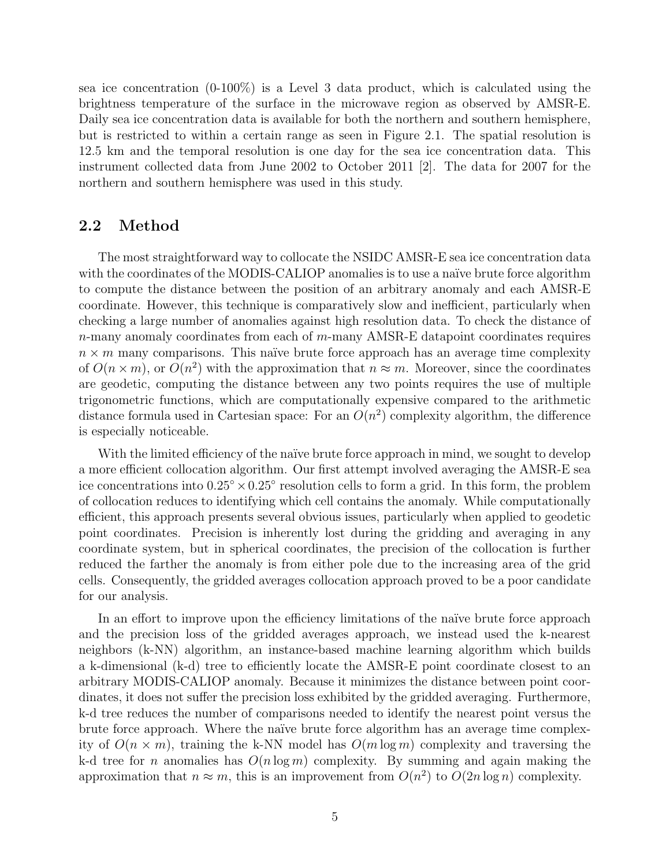sea ice concentration (0-100%) is a Level 3 data product, which is calculated using the brightness temperature of the surface in the microwave region as observed by AMSR-E. Daily sea ice concentration data is available for both the northern and southern hemisphere, but is restricted to within a certain range as seen in Figure [2.1.](#page-3-0) The spatial resolution is 12.5 km and the temporal resolution is one day for the sea ice concentration data. This instrument collected data from June 2002 to October 2011 [\[2\]](#page-10-3). The data for 2007 for the northern and southern hemisphere was used in this study.

#### 2.2 Method

The most straightforward way to collocate the NSIDC AMSR-E sea ice concentration data with the coordinates of the MODIS-CALIOP anomalies is to use a naïve brute force algorithm to compute the distance between the position of an arbitrary anomaly and each AMSR-E coordinate. However, this technique is comparatively slow and inefficient, particularly when checking a large number of anomalies against high resolution data. To check the distance of  $n$ -many anomaly coordinates from each of  $m$ -many AMSR-E datapoint coordinates requires  $n \times m$  many comparisons. This naïve brute force approach has an average time complexity of  $O(n \times m)$ , or  $O(n^2)$  with the approximation that  $n \approx m$ . Moreover, since the coordinates are geodetic, computing the distance between any two points requires the use of multiple trigonometric functions, which are computationally expensive compared to the arithmetic distance formula used in Cartesian space: For an  $O(n^2)$  complexity algorithm, the difference is especially noticeable.

With the limited efficiency of the naïve brute force approach in mind, we sought to develop a more efficient collocation algorithm. Our first attempt involved averaging the AMSR-E sea ice concentrations into  $0.25^{\circ} \times 0.25^{\circ}$  resolution cells to form a grid. In this form, the problem of collocation reduces to identifying which cell contains the anomaly. While computationally efficient, this approach presents several obvious issues, particularly when applied to geodetic point coordinates. Precision is inherently lost during the gridding and averaging in any coordinate system, but in spherical coordinates, the precision of the collocation is further reduced the farther the anomaly is from either pole due to the increasing area of the grid cells. Consequently, the gridded averages collocation approach proved to be a poor candidate for our analysis.

In an effort to improve upon the efficiency limitations of the naïve brute force approach and the precision loss of the gridded averages approach, we instead used the k-nearest neighbors (k-NN) algorithm, an instance-based machine learning algorithm which builds a k-dimensional (k-d) tree to efficiently locate the AMSR-E point coordinate closest to an arbitrary MODIS-CALIOP anomaly. Because it minimizes the distance between point coordinates, it does not suffer the precision loss exhibited by the gridded averaging. Furthermore, k-d tree reduces the number of comparisons needed to identify the nearest point versus the brute force approach. Where the naïve brute force algorithm has an average time complexity of  $O(n \times m)$ , training the k-NN model has  $O(m \log m)$  complexity and traversing the k-d tree for n anomalies has  $O(n \log m)$  complexity. By summing and again making the approximation that  $n \approx m$ , this is an improvement from  $O(n^2)$  to  $O(2n \log n)$  complexity.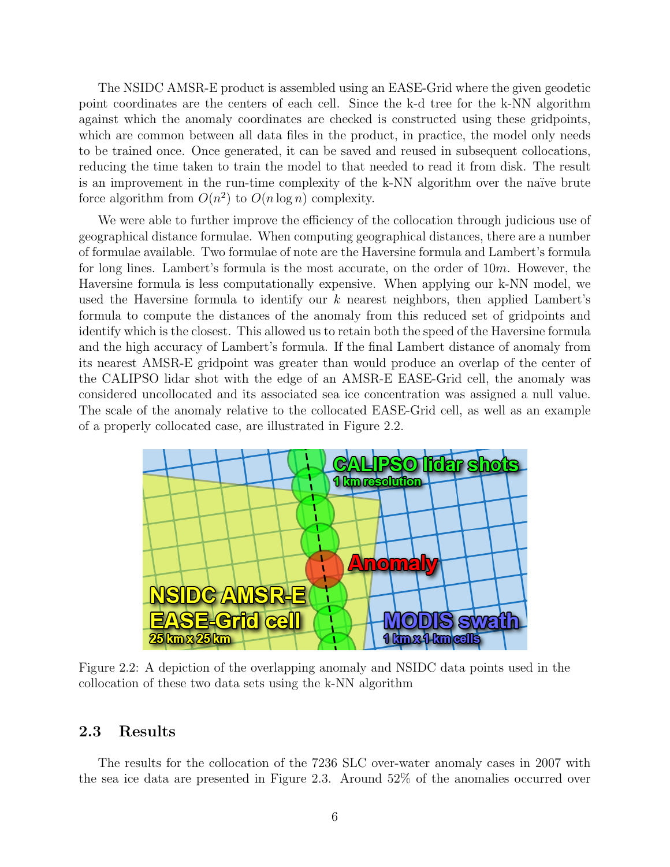The NSIDC AMSR-E product is assembled using an EASE-Grid where the given geodetic point coordinates are the centers of each cell. Since the k-d tree for the k-NN algorithm against which the anomaly coordinates are checked is constructed using these gridpoints, which are common between all data files in the product, in practice, the model only needs to be trained once. Once generated, it can be saved and reused in subsequent collocations, reducing the time taken to train the model to that needed to read it from disk. The result is an improvement in the run-time complexity of the k-NN algorithm over the naïve brute force algorithm from  $O(n^2)$  to  $O(n \log n)$  complexity.

We were able to further improve the efficiency of the collocation through judicious use of geographical distance formulae. When computing geographical distances, there are a number of formulae available. Two formulae of note are the Haversine formula and Lambert's formula for long lines. Lambert's formula is the most accurate, on the order of 10m. However, the Haversine formula is less computationally expensive. When applying our k-NN model, we used the Haversine formula to identify our  $k$  nearest neighbors, then applied Lambert's formula to compute the distances of the anomaly from this reduced set of gridpoints and identify which is the closest. This allowed us to retain both the speed of the Haversine formula and the high accuracy of Lambert's formula. If the final Lambert distance of anomaly from its nearest AMSR-E gridpoint was greater than would produce an overlap of the center of the CALIPSO lidar shot with the edge of an AMSR-E EASE-Grid cell, the anomaly was considered uncollocated and its associated sea ice concentration was assigned a null value. The scale of the anomaly relative to the collocated EASE-Grid cell, as well as an example of a properly collocated case, are illustrated in Figure [2.2.](#page-5-0)

<span id="page-5-0"></span>

Figure 2.2: A depiction of the overlapping anomaly and NSIDC data points used in the collocation of these two data sets using the k-NN algorithm

#### 2.3 Results

The results for the collocation of the 7236 SLC over-water anomaly cases in 2007 with the sea ice data are presented in Figure [2.3.](#page-6-0) Around 52% of the anomalies occurred over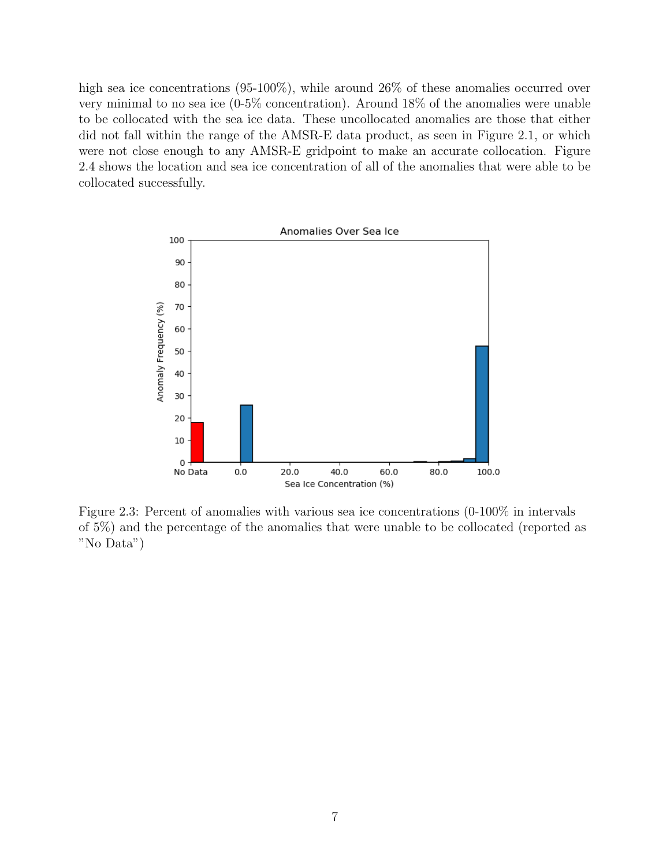high sea ice concentrations (95-100%), while around 26% of these anomalies occurred over very minimal to no sea ice (0-5% concentration). Around 18% of the anomalies were unable to be collocated with the sea ice data. These uncollocated anomalies are those that either did not fall within the range of the AMSR-E data product, as seen in Figure [2.1,](#page-3-0) or which were not close enough to any AMSR-E gridpoint to make an accurate collocation. Figure [2.4](#page-7-0) shows the location and sea ice concentration of all of the anomalies that were able to be collocated successfully.

<span id="page-6-0"></span>

Figure 2.3: Percent of anomalies with various sea ice concentrations (0-100% in intervals of 5%) and the percentage of the anomalies that were unable to be collocated (reported as "No Data")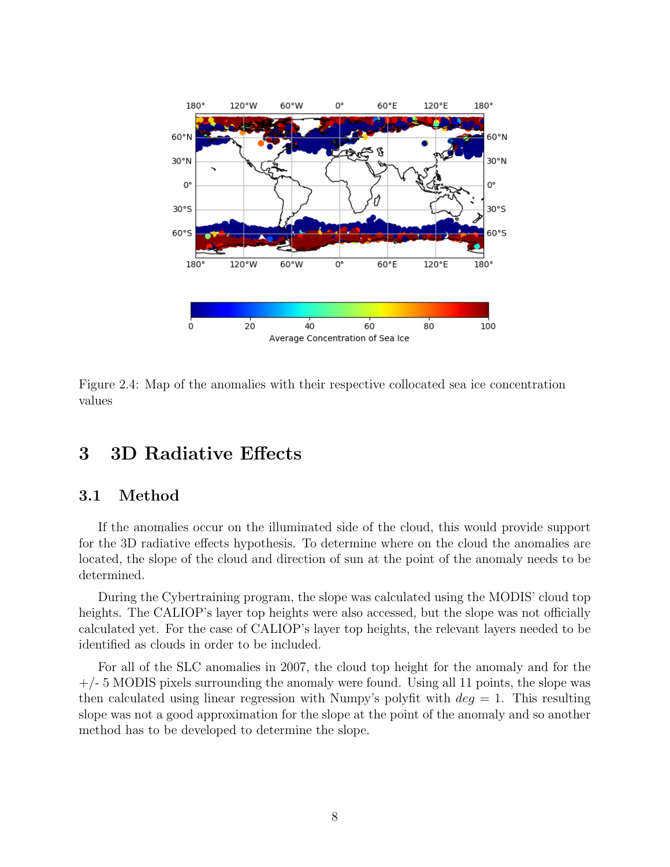<span id="page-7-0"></span>

Figure 2.4: Map of the anomalies with their respective collocated sea ice concentration values

## 3 3D Radiative Effects

### 3.1 Method

If the anomalies occur on the illuminated side of the cloud, this would provide support for the 3D radiative effects hypothesis. To determine where on the cloud the anomalies are located, the slope of the cloud and direction of sun at the point of the anomaly needs to be determined.

During the Cybertraining program, the slope was calculated using the MODIS' cloud top heights. The CALIOP's layer top heights were also accessed, but the slope was not officially calculated yet. For the case of CALIOP's layer top heights, the relevant layers needed to be identified as clouds in order to be included.

For all of the SLC anomalies in 2007, the cloud top height for the anomaly and for the  $+/- 5$  MODIS pixels surrounding the anomaly were found. Using all 11 points, the slope was then calculated using linear regression with Numpy's polyfit with  $deg = 1$ . This resulting slope was not a good approximation for the slope at the point of the anomaly and so another method has to be developed to determine the slope.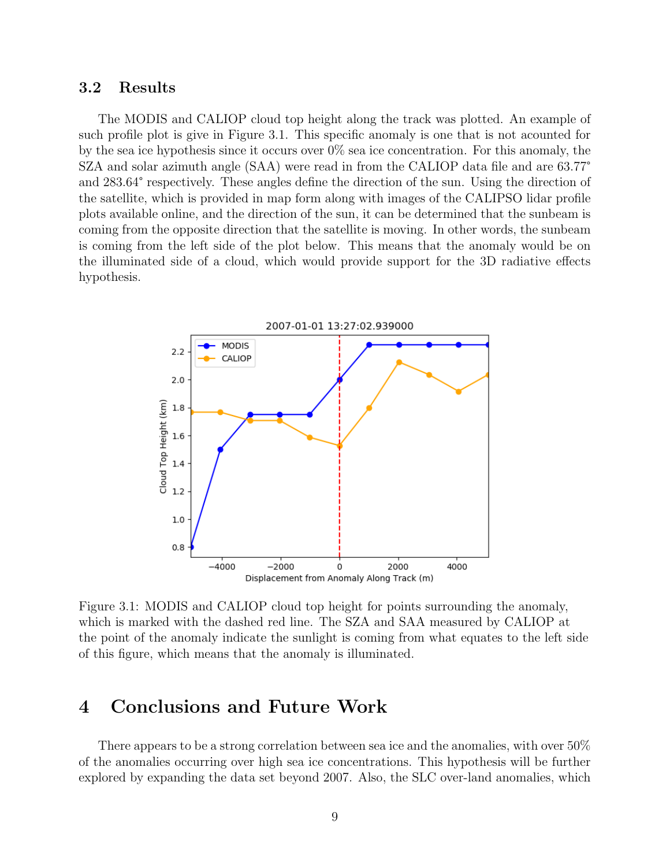#### 3.2 Results

The MODIS and CALIOP cloud top height along the track was plotted. An example of such profile plot is give in Figure [3.1.](#page-8-0) This specific anomaly is one that is not acounted for by the sea ice hypothesis since it occurs over 0% sea ice concentration. For this anomaly, the SZA and solar azimuth angle (SAA) were read in from the CALIOP data file and are 63.77° and 283.64° respectively. These angles define the direction of the sun. Using the direction of the satellite, which is provided in map form along with images of the CALIPSO lidar profile plots available online, and the direction of the sun, it can be determined that the sunbeam is coming from the opposite direction that the satellite is moving. In other words, the sunbeam is coming from the left side of the plot below. This means that the anomaly would be on the illuminated side of a cloud, which would provide support for the 3D radiative effects hypothesis.

<span id="page-8-0"></span>

Figure 3.1: MODIS and CALIOP cloud top height for points surrounding the anomaly, which is marked with the dashed red line. The SZA and SAA measured by CALIOP at the point of the anomaly indicate the sunlight is coming from what equates to the left side of this figure, which means that the anomaly is illuminated.

# 4 Conclusions and Future Work

There appears to be a strong correlation between sea ice and the anomalies, with over 50% of the anomalies occurring over high sea ice concentrations. This hypothesis will be further explored by expanding the data set beyond 2007. Also, the SLC over-land anomalies, which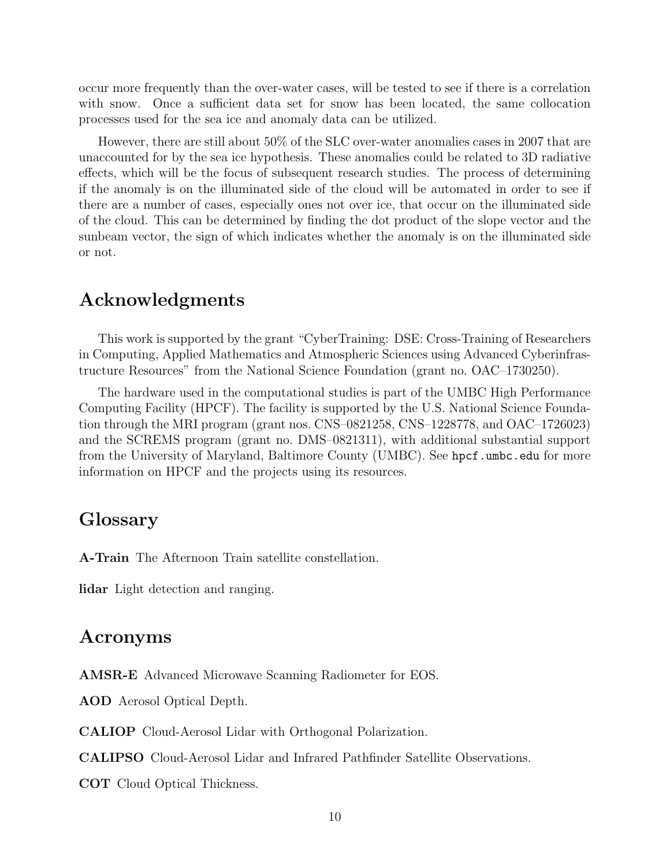occur more frequently than the over-water cases, will be tested to see if there is a correlation with snow. Once a sufficient data set for snow has been located, the same collocation processes used for the sea ice and anomaly data can be utilized.

However, there are still about 50% of the SLC over-water anomalies cases in 2007 that are unaccounted for by the sea ice hypothesis. These anomalies could be related to 3D radiative effects, which will be the focus of subsequent research studies. The process of determining if the anomaly is on the illuminated side of the cloud will be automated in order to see if there are a number of cases, especially ones not over ice, that occur on the illuminated side of the cloud. This can be determined by finding the dot product of the slope vector and the sunbeam vector, the sign of which indicates whether the anomaly is on the illuminated side or not.

### Acknowledgments

This work is supported by the grant "CyberTraining: DSE: Cross-Training of Researchers in Computing, Applied Mathematics and Atmospheric Sciences using Advanced Cyberinfrastructure Resources" from the National Science Foundation (grant no. OAC–1730250).

The hardware used in the computational studies is part of the UMBC High Performance Computing Facility (HPCF). The facility is supported by the U.S. National Science Foundation through the MRI program (grant nos. CNS–0821258, CNS–1228778, and OAC–1726023) and the SCREMS program (grant no. DMS–0821311), with additional substantial support from the University of Maryland, Baltimore County (UMBC). See <hpcf.umbc.edu> for more information on HPCF and the projects using its resources.

## Glossary

A-Train The Afternoon Train satellite constellation.

lidar Light detection and ranging.

### Acronyms

AMSR-E Advanced Microwave Scanning Radiometer for EOS.

AOD Aerosol Optical Depth.

CALIOP Cloud-Aerosol Lidar with Orthogonal Polarization.

CALIPSO Cloud-Aerosol Lidar and Infrared Pathfinder Satellite Observations.

COT Cloud Optical Thickness.